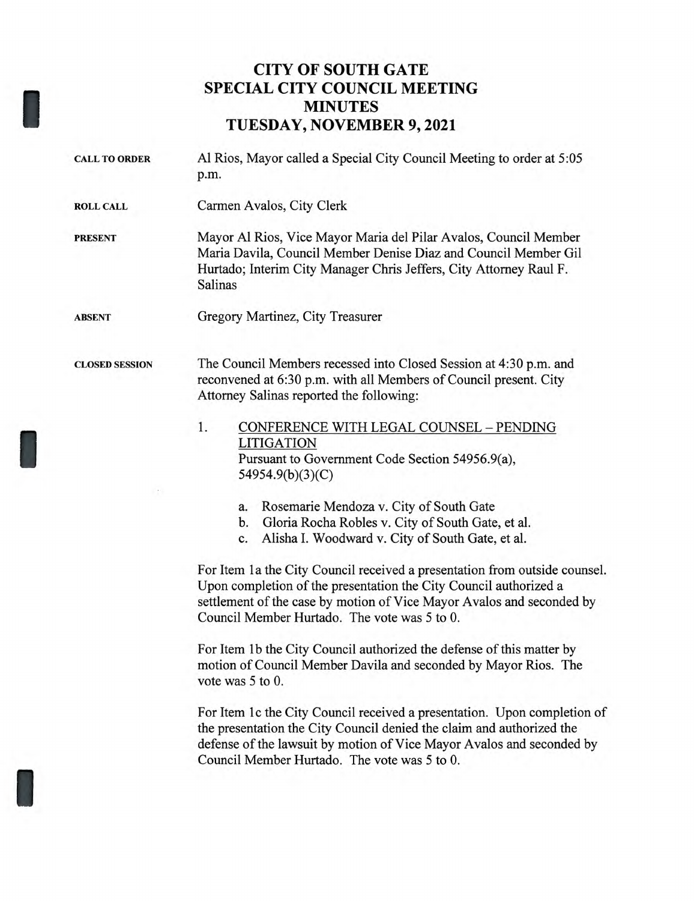## **CITY OF SOUTH GATE SPECIAL CITY COUNCIL MEETING MINUTES TUESDAY, NOVEMBER 9, 2021**

| Al Rios, Mayor called a Special City Council Meeting to order at 5:05<br>p.m.                                                                                                                                                                                                                                                                                                                                                                                                                                                                                                                                                                                                                                                                                                                                                                                                                                                                                                                                                             |
|-------------------------------------------------------------------------------------------------------------------------------------------------------------------------------------------------------------------------------------------------------------------------------------------------------------------------------------------------------------------------------------------------------------------------------------------------------------------------------------------------------------------------------------------------------------------------------------------------------------------------------------------------------------------------------------------------------------------------------------------------------------------------------------------------------------------------------------------------------------------------------------------------------------------------------------------------------------------------------------------------------------------------------------------|
| Carmen Avalos, City Clerk                                                                                                                                                                                                                                                                                                                                                                                                                                                                                                                                                                                                                                                                                                                                                                                                                                                                                                                                                                                                                 |
| Mayor Al Rios, Vice Mayor Maria del Pilar Avalos, Council Member<br>Maria Davila, Council Member Denise Diaz and Council Member Gil<br>Hurtado; Interim City Manager Chris Jeffers, City Attorney Raul F.<br>Salinas                                                                                                                                                                                                                                                                                                                                                                                                                                                                                                                                                                                                                                                                                                                                                                                                                      |
| Gregory Martinez, City Treasurer                                                                                                                                                                                                                                                                                                                                                                                                                                                                                                                                                                                                                                                                                                                                                                                                                                                                                                                                                                                                          |
| The Council Members recessed into Closed Session at 4:30 p.m. and<br>reconvened at 6:30 p.m. with all Members of Council present. City<br>Attorney Salinas reported the following:                                                                                                                                                                                                                                                                                                                                                                                                                                                                                                                                                                                                                                                                                                                                                                                                                                                        |
| 1.<br>CONFERENCE WITH LEGAL COUNSEL - PENDING<br><b>LITIGATION</b><br>Pursuant to Government Code Section 54956.9(a),<br>54954.9(b)(3)(C)<br>Rosemarie Mendoza v. City of South Gate<br>a.<br>Gloria Rocha Robles v. City of South Gate, et al.<br>b.<br>Alisha I. Woodward v. City of South Gate, et al.<br>c.<br>For Item 1a the City Council received a presentation from outside counsel.<br>Upon completion of the presentation the City Council authorized a<br>settlement of the case by motion of Vice Mayor Avalos and seconded by<br>Council Member Hurtado. The vote was 5 to 0.<br>For Item 1b the City Council authorized the defense of this matter by<br>motion of Council Member Davila and seconded by Mayor Rios. The<br>vote was 5 to 0.<br>For Item 1c the City Council received a presentation. Upon completion of<br>the presentation the City Council denied the claim and authorized the<br>defense of the lawsuit by motion of Vice Mayor Avalos and seconded by<br>Council Member Hurtado. The vote was 5 to 0. |
|                                                                                                                                                                                                                                                                                                                                                                                                                                                                                                                                                                                                                                                                                                                                                                                                                                                                                                                                                                                                                                           |